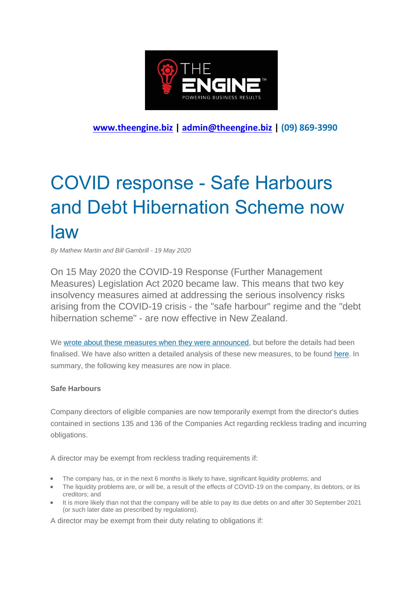

**[www.theengine.biz](http://www.theengine.biz/) | [admin@theengine.biz](mailto:admin@theengine.biz) | (09) 869-3990**

## COVID response - Safe Harbours and Debt Hibernation Scheme now law

*By Mathew Martin and Bill Gambrill - 19 May 2020*

On 15 May 2020 the COVID-19 Response (Further Management Measures) Legislation Act 2020 became law. This means that two key insolvency measures aimed at addressing the serious insolvency risks arising from the COVID-19 crisis - the "safe harbour" regime and the "debt hibernation scheme" - are now effective in New Zealand.

We wrote [about these measures when they were announced,](https://www.martellimckegg.co.nz/topnav/blog/2020/4/5/significant-changes-to-company-law-announced.aspx) but before the details had been finalised. We have also written a detailed analysis of these new measures, to be found [here.](https://www.martellimckegg.co.nz/media/97709/company%20law%20changes%20to%20create%20safe%20harbours%20and%20business%20debt%20hibernation%20in%20new%20zealand.pdf) In summary, the following key measures are now in place.

## **Safe Harbours**

Company directors of eligible companies are now temporarily exempt from the director's duties contained in sections 135 and 136 of the Companies Act regarding reckless trading and incurring obligations.

A director may be exempt from reckless trading requirements if:

- The company has, or in the next 6 months is likely to have, significant liquidity problems; and
- The liquidity problems are, or will be, a result of the effects of COVID-19 on the company, its debtors, or its creditors; and
- It is more likely than not that the company will be able to pay its due debts on and after 30 September 2021 (or such later date as prescribed by regulations).

A director may be exempt from their duty relating to obligations if: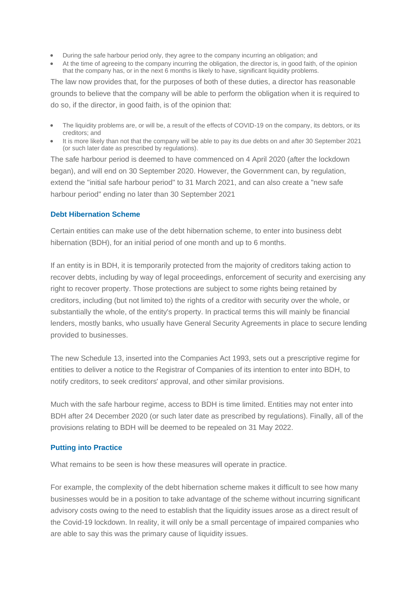- During the safe harbour period only, they agree to the company incurring an obligation; and
- At the time of agreeing to the company incurring the obligation, the director is, in good faith, of the opinion that the company has, or in the next 6 months is likely to have, significant liquidity problems.

The law now provides that, for the purposes of both of these duties, a director has reasonable grounds to believe that the company will be able to perform the obligation when it is required to do so, if the director, in good faith, is of the opinion that:

- The liquidity problems are, or will be, a result of the effects of COVID-19 on the company, its debtors, or its creditors; and
- It is more likely than not that the company will be able to pay its due debts on and after 30 September 2021 (or such later date as prescribed by regulations).

The safe harbour period is deemed to have commenced on 4 April 2020 (after the lockdown began), and will end on 30 September 2020. However, the Government can, by regulation, extend the "initial safe harbour period" to 31 March 2021, and can also create a "new safe harbour period" ending no later than 30 September 2021

## **Debt Hibernation Scheme**

Certain entities can make use of the debt hibernation scheme, to enter into business debt hibernation (BDH), for an initial period of one month and up to 6 months.

If an entity is in BDH, it is temporarily protected from the majority of creditors taking action to recover debts, including by way of legal proceedings, enforcement of security and exercising any right to recover property. Those protections are subject to some rights being retained by creditors, including (but not limited to) the rights of a creditor with security over the whole, or substantially the whole, of the entity's property. In practical terms this will mainly be financial lenders, mostly banks, who usually have General Security Agreements in place to secure lending provided to businesses.

The new Schedule 13, inserted into the Companies Act 1993, sets out a prescriptive regime for entities to deliver a notice to the Registrar of Companies of its intention to enter into BDH, to notify creditors, to seek creditors' approval, and other similar provisions.

Much with the safe harbour regime, access to BDH is time limited. Entities may not enter into BDH after 24 December 2020 (or such later date as prescribed by regulations). Finally, all of the provisions relating to BDH will be deemed to be repealed on 31 May 2022.

## **Putting into Practice**

What remains to be seen is how these measures will operate in practice.

For example, the complexity of the debt hibernation scheme makes it difficult to see how many businesses would be in a position to take advantage of the scheme without incurring significant advisory costs owing to the need to establish that the liquidity issues arose as a direct result of the Covid-19 lockdown. In reality, it will only be a small percentage of impaired companies who are able to say this was the primary cause of liquidity issues.